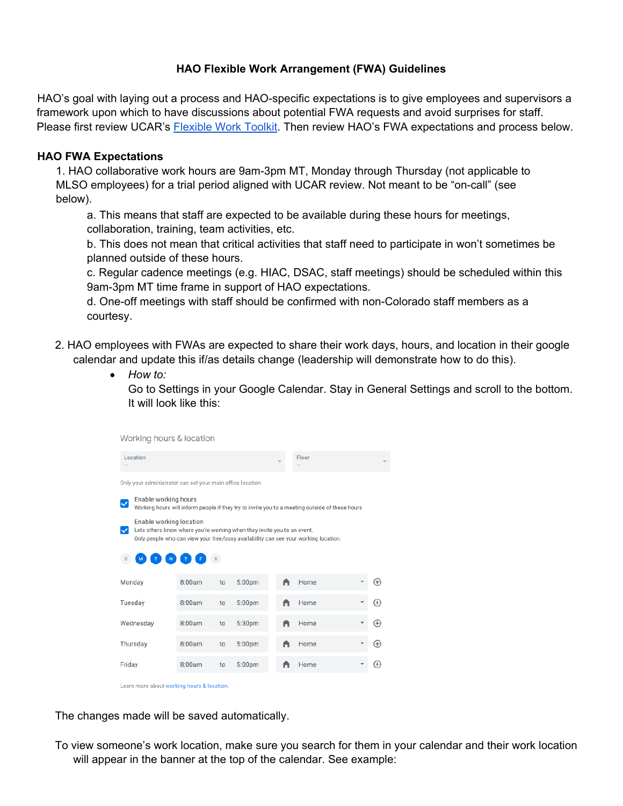#### **HAO Flexible Work Arrangement (FWA) Guidelines**

HAO's goal with laying out a process and HAO-specific expectations is to give employees and supervisors a framework upon which to have discussions about potential FWA requests and avoid surprises for staff. Please first review UCAR's [Flexible Work Toolkit.](https://sundog.ucar.edu/Interact/Pages/Content/Document.aspx?id=5726&SearchId=187923&utm_source=interact&utm_medium=quick_search&utm_term=flexible+work+too) Then review HAO's FWA expectations and process below.

#### **HAO FWA Expectations**

1. HAO collaborative work hours are 9am-3pm MT, Monday through Thursday (not applicable to MLSO employees) for a trial period aligned with UCAR review. Not meant to be "on-call" (see below).

a. This means that staff are expected to be available during these hours for meetings, collaboration, training, team activities, etc.

b. This does not mean that critical activities that staff need to participate in won't sometimes be planned outside of these hours.

c. Regular cadence meetings (e.g. HIAC, DSAC, staff meetings) should be scheduled within this 9am-3pm MT time frame in support of HAO expectations.

d. One-off meetings with staff should be confirmed with non-Colorado staff members as a courtesy.

- 2. HAO employees with FWAs are expected to share their work days, hours, and location in their google calendar and update this if/as details change (leadership will demonstrate how to do this).
	- *How to:*

Go to Settings in your Google Calendar. Stay in General Settings and scroll to the bottom. It will look like this:

| Working hours & location                                                                                                                                                                  |        |    |                    |       |      |  |              |  |  |  |
|-------------------------------------------------------------------------------------------------------------------------------------------------------------------------------------------|--------|----|--------------------|-------|------|--|--------------|--|--|--|
| Location                                                                                                                                                                                  |        |    |                    | Floor |      |  |              |  |  |  |
| Only your administrator can set your main office location                                                                                                                                 |        |    |                    |       |      |  |              |  |  |  |
| Enable working hours<br>Working hours will inform people if they try to invite you to a meeting outside of these hours                                                                    |        |    |                    |       |      |  |              |  |  |  |
| Enable working location<br>Lets others know where you're working when they invite you to an event.<br>Only people who can view your free/busy availability can see your working location. |        |    |                    |       |      |  |              |  |  |  |
| s                                                                                                                                                                                         |        |    |                    |       |      |  |              |  |  |  |
| Monday                                                                                                                                                                                    | 8:00am | to | 5:00pm             |       | Home |  | Œ            |  |  |  |
| Tuesday                                                                                                                                                                                   | 8:00am | to | 5:00pm             |       | Home |  | Œ            |  |  |  |
| Wednesday                                                                                                                                                                                 | 8:00am | to | 5:30pm             |       | Home |  | Ð            |  |  |  |
| Thursday                                                                                                                                                                                  | 8:00am | to | 5:00pm             | A     | Home |  | $^{\rm (+)}$ |  |  |  |
| Friday                                                                                                                                                                                    | 8:00am | to | 5:00 <sub>pm</sub> |       | Home |  | (+           |  |  |  |

Learn more about working hours & location.

The changes made will be saved automatically.

To view someone's work location, make sure you search for them in your calendar and their work location will appear in the banner at the top of the calendar. See example: